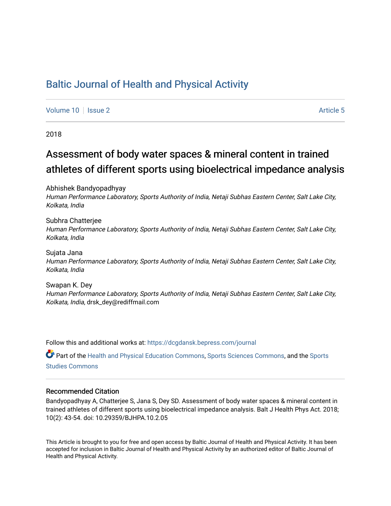### [Baltic Journal of Health and Physical Activity](https://dcgdansk.bepress.com/journal)

[Volume 10](https://dcgdansk.bepress.com/journal/vol10) | [Issue 2](https://dcgdansk.bepress.com/journal/vol10/iss2) Article 5

2018

## Assessment of body water spaces & mineral content in trained athletes of different sports using bioelectrical impedance analysis

Abhishek Bandyopadhyay

Human Performance Laboratory, Sports Authority of India, Netaji Subhas Eastern Center, Salt Lake City, Kolkata, India

Subhra Chatterjee Human Performance Laboratory, Sports Authority of India, Netaji Subhas Eastern Center, Salt Lake City, Kolkata, India

Sujata Jana Human Performance Laboratory, Sports Authority of India, Netaji Subhas Eastern Center, Salt Lake City, Kolkata, India

Swapan K. Dey Human Performance Laboratory, Sports Authority of India, Netaji Subhas Eastern Center, Salt Lake City, Kolkata, India, drsk\_dey@rediffmail.com

Follow this and additional works at: [https://dcgdansk.bepress.com/journal](https://dcgdansk.bepress.com/journal?utm_source=dcgdansk.bepress.com%2Fjournal%2Fvol10%2Fiss2%2F5&utm_medium=PDF&utm_campaign=PDFCoverPages)

Part of the [Health and Physical Education Commons](http://network.bepress.com/hgg/discipline/1327?utm_source=dcgdansk.bepress.com%2Fjournal%2Fvol10%2Fiss2%2F5&utm_medium=PDF&utm_campaign=PDFCoverPages), [Sports Sciences Commons](http://network.bepress.com/hgg/discipline/759?utm_source=dcgdansk.bepress.com%2Fjournal%2Fvol10%2Fiss2%2F5&utm_medium=PDF&utm_campaign=PDFCoverPages), and the [Sports](http://network.bepress.com/hgg/discipline/1198?utm_source=dcgdansk.bepress.com%2Fjournal%2Fvol10%2Fiss2%2F5&utm_medium=PDF&utm_campaign=PDFCoverPages)  [Studies Commons](http://network.bepress.com/hgg/discipline/1198?utm_source=dcgdansk.bepress.com%2Fjournal%2Fvol10%2Fiss2%2F5&utm_medium=PDF&utm_campaign=PDFCoverPages) 

#### Recommended Citation

Bandyopadhyay A, Chatterjee S, Jana S, Dey SD. Assessment of body water spaces & mineral content in trained athletes of different sports using bioelectrical impedance analysis. Balt J Health Phys Act. 2018; 10(2): 43-54. doi: 10.29359/BJHPA.10.2.05

This Article is brought to you for free and open access by Baltic Journal of Health and Physical Activity. It has been accepted for inclusion in Baltic Journal of Health and Physical Activity by an authorized editor of Baltic Journal of Health and Physical Activity.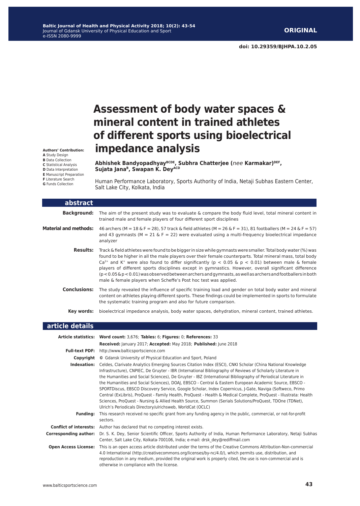**Authors' Contribution: A** Study Design **B** Data Collection **C** Statistical Analysis **D** Data Interpretation **E** Manuscript Preparation **F** Literature Search **G** Funds Collection

# **Assessment of body water spaces & mineral content in trained athletes of different sports using bioelectrical impedance analysis**

**Abhishek BandyopadhyayBCDE, Subhra Chatterjee (***nee* **Karmakar)DEF,**  Sujata Jana<sup>B</sup>, Swapan K. DeyACD

Human Performance Laboratory, Sports Authority of India, Netaji Subhas Eastern Center, Salt Lake City, Kolkata, India

| abstract                     |                                                                                                                                                                                                                                                                                                                                                                                                                                                                                                                                                                                                                                                   |
|------------------------------|---------------------------------------------------------------------------------------------------------------------------------------------------------------------------------------------------------------------------------------------------------------------------------------------------------------------------------------------------------------------------------------------------------------------------------------------------------------------------------------------------------------------------------------------------------------------------------------------------------------------------------------------------|
| <b>Background:</b>           | The aim of the present study was to evaluate $\&$ compare the body fluid level, total mineral content in<br>trained male and female players of four different sport disciplines                                                                                                                                                                                                                                                                                                                                                                                                                                                                   |
| <b>Material and methods:</b> | 46 archers (M = 18 & F = 28), 57 track & field athletes (M = 26 & F = 31), 81 footballers (M = 24 & F = 57)<br>and 43 gymnasts ( $M = 21$ & F = 22) were evaluated using a multi-frequency bioelectrical impedance<br>analyzer                                                                                                                                                                                                                                                                                                                                                                                                                    |
| <b>Results:</b>              | Track & field athletes were found to be bigger in size while gymnasts were smaller. Total body water (%) was<br>found to be higher in all the male players over their female counterparts. Total mineral mass, total body<br>$Ca^{2+}$ and K <sup>+</sup> were also found to differ significantly ( $p < 0.05$ & $p < 0.01$ ) between male & female<br>players of different sports disciplines except in gymnastics. However, overall significant difference<br>$(p < 0.05 \& p < 0.01)$ was observed between archers and gymnasts, as well as archers and footballers in both<br>male & female players when Scheffe's Post hoc test was applied. |
| <b>Conclusions:</b>          | The study revealed the influence of specific training load and gender on total body water and mineral<br>content on athletes playing different sports. These findings could be implemented in sports to formulate<br>the systematic training program and also for future comparison.                                                                                                                                                                                                                                                                                                                                                              |
| Key words:                   | bioelectrical impedance analysis, body water spaces, dehydration, mineral content, trained athletes.                                                                                                                                                                                                                                                                                                                                                                                                                                                                                                                                              |

| article details              |                                                                                                                                                                                                                                                                                                                                                                                                                                                                                                                                                                                                                                                                                                                                                                                                                                                               |
|------------------------------|---------------------------------------------------------------------------------------------------------------------------------------------------------------------------------------------------------------------------------------------------------------------------------------------------------------------------------------------------------------------------------------------------------------------------------------------------------------------------------------------------------------------------------------------------------------------------------------------------------------------------------------------------------------------------------------------------------------------------------------------------------------------------------------------------------------------------------------------------------------|
|                              | Article statistics: Word count: 3,676; Tables: 6; Figures: 0; References: 33                                                                                                                                                                                                                                                                                                                                                                                                                                                                                                                                                                                                                                                                                                                                                                                  |
|                              | Received: January 2017; Accepted: May 2018; Published: June 2018                                                                                                                                                                                                                                                                                                                                                                                                                                                                                                                                                                                                                                                                                                                                                                                              |
| <b>Full-text PDF:</b>        | http://www.balticsportscience.com                                                                                                                                                                                                                                                                                                                                                                                                                                                                                                                                                                                                                                                                                                                                                                                                                             |
| Copyright                    | © Gdansk University of Physical Education and Sport, Poland                                                                                                                                                                                                                                                                                                                                                                                                                                                                                                                                                                                                                                                                                                                                                                                                   |
| Indexation:                  | Celdes, Clarivate Analytics Emerging Sources Citation Index (ESCI), CNKI Scholar (China National Knowledge<br>Infrastructure), CNPIEC, De Gruyter - IBR (International Bibliography of Reviews of Scholarly Literature in<br>the Humanities and Social Sciences), De Gruyter - IBZ (International Bibliography of Periodical Literature in<br>the Humanities and Social Sciences), DOAJ, EBSCO - Central & Eastern European Academic Source, EBSCO -<br>SPORTDiscus, EBSCO Discovery Service, Google Scholar, Index Copernicus, J-Gate, Naviga (Softweco, Primo<br>Central (ExLibris), ProQuest - Family Health, ProQuest - Health & Medical Complete, ProQuest - Illustrata: Health<br>Sciences, ProQuest - Nursing & Allied Health Source, Summon (Serials Solutions/ProQuest, TDOne (TDNet),<br>Ulrich's Periodicals Directory/ulrichsweb, WorldCat (OCLC) |
| <b>Fundina:</b>              | This research received no specific grant from any funding agency in the public, commercial, or not-for-profit<br>sectors.                                                                                                                                                                                                                                                                                                                                                                                                                                                                                                                                                                                                                                                                                                                                     |
|                              | <b>Conflict of interests:</b> Author has declared that no competing interest exists.                                                                                                                                                                                                                                                                                                                                                                                                                                                                                                                                                                                                                                                                                                                                                                          |
| <b>Corresponding author:</b> | Dr. S. K. Dey, Senior Scientific Officer, Sports Authority of India, Human Performance Laboratory, Netaji Subhas<br>Center, Salt Lake City, Kolkata-700106, India; e-mail: drsk dey@rediffmail.com                                                                                                                                                                                                                                                                                                                                                                                                                                                                                                                                                                                                                                                            |
| <b>Open Access License:</b>  | This is an open access article distributed under the terms of the Creative Commons Attribution-Non-commercial<br>4.0 International (http://creativecommons.org/licenses/by-nc/4.0/), which permits use, distribution, and<br>reproduction in any medium, provided the original work is properly cited, the use is non-commercial and is<br>otherwise in compliance with the license.                                                                                                                                                                                                                                                                                                                                                                                                                                                                          |
|                              |                                                                                                                                                                                                                                                                                                                                                                                                                                                                                                                                                                                                                                                                                                                                                                                                                                                               |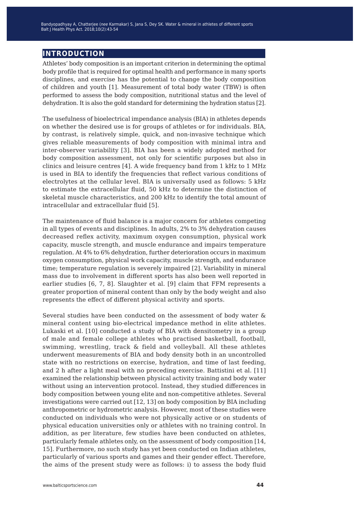#### **introduction**

Athletes' body composition is an important criterion in determining the optimal body profile that is required for optimal health and performance in many sports disciplines, and exercise has the potential to change the body composition of children and youth [1]. Measurement of total body water (TBW) is often performed to assess the body composition, nutritional status and the level of dehydration. It is also the gold standard for determining the hydration status [2].

The usefulness of bioelectrical impendance analysis (BIA) in athletes depends on whether the desired use is for groups of athletes or for individuals. BIA, by contrast, is relatively simple, quick, and non-invasive technique which gives reliable measurements of body composition with minimal intra and inter-observer variability [3]. BIA has been a widely adopted method for body composition assessment, not only for scientific purposes but also in clinics and leisure centres [4]. A wide frequency band from 1 kHz to 1 MHz is used in BIA to identify the frequencies that reflect various conditions of electrolytes at the cellular level. BIA is universally used as follows: 5 kHz to estimate the extracellular fluid, 50 kHz to determine the distinction of skeletal muscle characteristics, and 200 kHz to identify the total amount of intracellular and extracellular fluid [5].

The maintenance of fluid balance is a major concern for athletes competing in all types of events and disciplines. In adults, 2% to 3% dehydration causes decreased reflex activity, maximum oxygen consumption, physical work capacity, muscle strength, and muscle endurance and impairs temperature regulation. At 4% to 6% dehydration, further deterioration occurs in maximum oxygen consumption, physical work capacity, muscle strength, and endurance time; temperature regulation is severely impaired [2]. Variability in mineral mass due to involvement in different sports has also been well reported in earlier studies [6, 7, 8]. Slaughter et al. [9] claim that FFM represents a greater proportion of mineral content than only by the body weight and also represents the effect of different physical activity and sports.

Several studies have been conducted on the assessment of body water & mineral content using bio-electrical impedance method in elite athletes. Lukaski et al. [10] conducted a study of BIA with densitometry in a group of male and female college athletes who practised basketball, football, swimming, wrestling, track & field and volleyball. All these athletes underwent measurements of BIA and body density both in an uncontrolled state with no restrictions on exercise, hydration, and time of last feeding, and 2 h after a light meal with no preceding exercise. Battistini et al. [11] examined the relationship between physical activity training and body water without using an intervention protocol. Instead, they studied differences in body composition between young elite and non-competitive athletes. Several investigations were carried out [12, 13] on body composition by BIA including anthropometric or hydrometric analysis. However, most of these studies were conducted on individuals who were not physically active or on students of physical education universities only or athletes with no training control. In addition, as per literature, few studies have been conducted on athletes, particularly female athletes only, on the assessment of body composition [14, 15]. Furthermore, no such study has yet been conducted on Indian athletes, particularly of various sports and games and their gender effect. Therefore, the aims of the present study were as follows: i) to assess the body fluid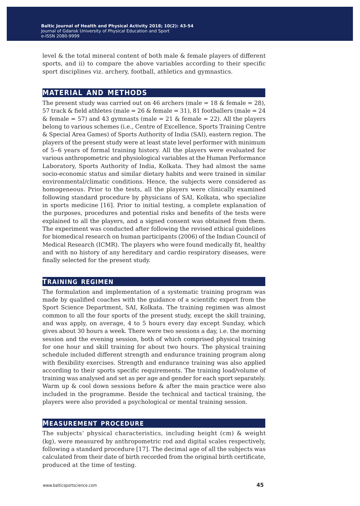level & the total mineral content of both male & female players of different sports, and ii) to compare the above variables according to their specific sport disciplines viz. archery, football, athletics and gymnastics.

#### **material and methods**

The present study was carried out on 46 archers (male  $= 18$  & female  $= 28$ ), 57 track & field athletes (male =  $26$  & female =  $31$ ),  $81$  footballers (male =  $24$  $\&$  female = 57) and 43 gymnasts (male = 21  $\&$  female = 22). All the players belong to various schemes (i.e., Centre of Excellence, Sports Training Centre & Special Area Games) of Sports Authority of India (SAI), eastern region. The players of the present study were at least state level performer with minimum of 5‒6 years of formal training history. All the players were evaluated for various anthropometric and physiological variables at the Human Performance Laboratory, Sports Authority of India, Kolkata. They had almost the same socio-economic status and similar dietary habits and were trained in similar environmental/climatic conditions. Hence, the subjects were considered as homogeneous. Prior to the tests, all the players were clinically examined following standard procedure by physicians of SAI, Kolkata, who specialize in sports medicine [16]. Prior to initial testing, a complete explanation of the purposes, procedures and potential risks and benefits of the tests were explained to all the players, and a signed consent was obtained from them. The experiment was conducted after following the revised ethical guidelines for biomedical research on human participants (2006) of the Indian Council of Medical Research (ICMR). The players who were found medically fit, healthy and with no history of any hereditary and cardio respiratory diseases, were finally selected for the present study.

#### **training regimen**

The formulation and implementation of a systematic training program was made by qualified coaches with the guidance of a scientific expert from the Sport Science Department, SAI, Kolkata. The training regimen was almost common to all the four sports of the present study, except the skill training, and was apply, on average, 4 to 5 hours every day except Sunday, which gives about 30 hours a week. There were two sessions a day, i.e. the morning session and the evening session, both of which comprised physical training for one hour and skill training for about two hours. The physical training schedule included different strength and endurance training program along with flexibility exercises. Strength and endurance training was also applied according to their sports specific requirements. The training load/volume of training was analysed and set as per age and gender for each sport separately. Warm up & cool down sessions before & after the main practice were also included in the programme. Beside the technical and tactical training, the players were also provided a psychological or mental training session.

#### **measurement procedure**

The subjects' physical characteristics, including height (cm) & weight (kg), were measured by anthropometric rod and digital scales respectively, following a standard procedure [17]. The decimal age of all the subjects was calculated from their date of birth recorded from the original birth certificate, produced at the time of testing.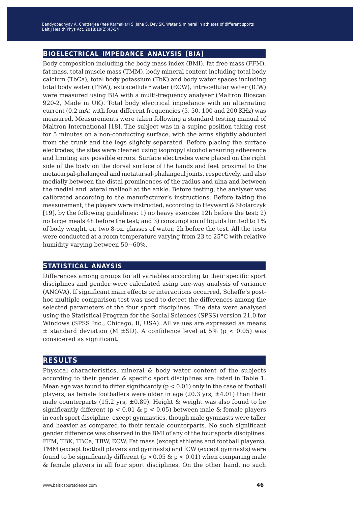#### **bioelectrical impedance analysis (bia)**

Body composition including the body mass index (BMI), fat free mass (FFM), fat mass, total muscle mass (TMM), body mineral content including total body calcium (TbCa), total body potassium (TbK) and body water spaces including total body water (TBW), extracellular water (ECW), intracellular water (ICW) were measured using BIA with a multi-frequency analyser (Maltron Bioscan 920-2, Made in UK). Total body electrical impedance with an alternating current (0.2 mA) with four different frequencies (5, 50, 100 and 200 KHz) was measured. Measurements were taken following a standard testing manual of Maltron International [18]. The subject was in a supine position taking rest for 5 minutes on a non-conducting surface, with the arms slightly abducted from the trunk and the legs slightly separated. Before placing the surface electrodes, the sites were cleaned using isopropyl alcohol ensuring adherence and limiting any possible errors. Surface electrodes were placed on the right side of the body on the dorsal surface of the hands and feet proximal to the metacarpal-phalangeal and metatarsal-phalangeal joints, respectively, and also medially between the distal prominences of the radius and ulna and between the medial and lateral malleoli at the ankle. Before testing, the analyser was calibrated according to the manufacturer's instructions. Before taking the measurement, the players were instructed, according to Heyward & Stolarczyk [19], by the following guidelines: 1) no heavy exercise 12h before the test; 2) no large meals 4h before the test; and 3) consumption of liquids limited to 1% of body weight, or, two 8-oz. glasses of water, 2h before the test. All the tests were conducted at a room temperature varying from 23 to 25°C with relative humidity varying between 50−60%.

#### **statistical anaysis**

Differences among groups for all variables according to their specific sport disciplines and gender were calculated using one-way analysis of variance (ANOVA). If significant main effects or interactions occurred, Scheffe's posthoc multiple comparison test was used to detect the differences among the selected parameters of the four sport disciplines. The data were analysed using the Statistical Program for the Social Sciences (SPSS) version 21.0 for Windows (SPSS Inc., Chicago, Il, USA). All values are expressed as means  $\pm$  standard deviation (M  $\pm$ SD). A confidence level at 5% (p < 0.05) was considered as significant.

#### **results**

Physical characteristics, mineral & body water content of the subjects according to their gender & specific sport disciplines are listed in Table 1. Mean age was found to differ significantly  $(p < 0.01)$  only in the case of football players, as female footballers were older in age (20.3 yrs,  $\pm$ 4.01) than their male counterparts (15.2 yrs,  $\pm 0.89$ ). Height & weight was also found to be significantly different ( $p < 0.01$  &  $p < 0.05$ ) between male & female players in each sport discipline, except gymnastics, though male gymnasts were taller and heavier as compared to their female counterparts. No such significant gender difference was observed in the BMI of any of the four sports disciplines. FFM, TBK, TBCa, TBW, ECW, Fat mass (except athletes and football players), TMM (except football players and gymnasts) and ICW (except gymnasts) were found to be significantly different ( $p < 0.05 \& p < 0.01$ ) when comparing male & female players in all four sport disciplines. On the other hand, no such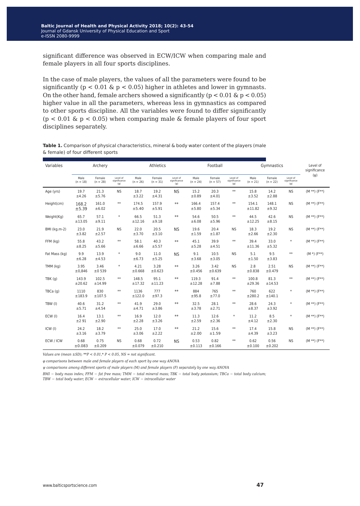significant difference was observed in ECW/ICW when comparing male and female players in all four sports disciplines.

In the case of male players, the values of all the parameters were found to be significantly ( $p < 0.01 \& p < 0.05$ ) higher in athletes and lower in gymnasts. On the other hand, female archers showed a significantly ( $p < 0.01$  &  $p < 0.05$ ) higher value in all the parameters, whereas less in gymnastics as compared to other sports discipline. All the variables were found to differ significantly  $(p < 0.01 \& p < 0.05)$  when comparing male & female players of four sport disciplines separately.

**Table 1.** Comparison of physical characteristics, mineral & body water content of the players (male & female) of four different sports

| Variables     | Archery            |                      | Athletics                            |                    |                      | Football                             |                    |                      | Gymnastics                              |                    |                      | Level of<br>significance             |                    |
|---------------|--------------------|----------------------|--------------------------------------|--------------------|----------------------|--------------------------------------|--------------------|----------------------|-----------------------------------------|--------------------|----------------------|--------------------------------------|--------------------|
|               | Male<br>$(n = 18)$ | Female<br>$(n = 28)$ | Level of<br>significance<br>$(\phi)$ | Male<br>$(n = 26)$ | Female<br>$(n = 31)$ | Level of<br>significance<br>$(\Phi)$ | Male<br>$(n = 24)$ | Female<br>$(n = 57)$ | Level of<br>significance<br>$(\varphi)$ | Male<br>$(n = 21)$ | Female<br>$(n = 22)$ | Level of<br>significance<br>$(\Phi)$ | $(\psi)$           |
| Age (yrs)     | 19.7<br>±4.26      | 21.3<br>±5.76        | <b>NS</b>                            | 18.7<br>±3.22      | 19.2<br>±4.31        | <b>NS</b>                            | 15.2<br>±0.89      | 20.3<br>±4.01        | $**$                                    | 15.8<br>±3.52      | 14.2<br>±2.88        | <b>NS</b>                            | $(M **)$ (F**)     |
| Height(cm)    | 168.2<br>±5.39     | 161.0<br>±6.02       | $**$                                 | 174.5<br>±5.40     | 157.9<br>±5.91       | $**$                                 | 166.4<br>±5.80     | 157.4<br>±5.34       | $**$                                    | 154.1<br>±11.82    | 148.1<br>±9.32       | <b>NS</b>                            | $(M **)$ (F**)     |
| Weight(Kg)    | 65.7<br>±13.05     | 57.1<br>±9.11        | $\ast$                               | 66.5<br>±12.16     | 51.3<br>±9.18        | $**$                                 | 54.6<br>±6.08      | 50.5<br>±5.96        | $**$                                    | 44.5<br>±12.25     | 42.6<br>±8.15        | <b>NS</b>                            | $(M **)$ (F**)     |
| BMI (kg.m-2)  | 23.0<br>±3.82      | 21.9<br>±2.57        | <b>NS</b>                            | 22.0<br>±3.70      | 20.5<br>±3.10        | <b>NS</b>                            | 19.6<br>±1.59      | 20.4<br>±1.87        | <b>NS</b>                               | 18.3<br>±2.66      | 19.2<br>±2.30        | <b>NS</b>                            | $(M **)$ (F**)     |
| FFM (kg)      | 55.8<br>±8.25      | 43.2<br>±5.66        | $**$                                 | 58.1<br>±6.66      | 40.3<br>±5.57        | $**$                                 | 45.1<br>±5.28      | 39.9<br>±4.51        | $**$                                    | 39.4<br>±11.36     | 33.0<br>±5.32        | $\ast$                               | $(M **)$ (F**)     |
| Fat Mass (kg) | 9.9<br>±6.28       | 13.9<br>±4.53        | $\ast$                               | 9.0<br>±6.73       | 11.0<br>±5.25        | <b>NS</b>                            | 9.1<br>±3.68       | 10.5<br>±3.05        | <b>NS</b>                               | 5.1<br>±1.50       | 9.5<br>±3.83         | $**$                                 | $(M * (F^{**})$    |
| TMM (kg)      | 3.95<br>±0,846     | 3.46<br>±0539        | $\ast$                               | 4.21<br>±0.668     | 3.28<br>±0.623       | $**$                                 | 3.26<br>±0.456     | 3.42<br>±0.639       | <b>NS</b>                               | 2.8<br>±0.838      | 2.51<br>±0.479       | <b>NS</b>                            | $(M **)$ (F**)     |
| TBK(q)        | 143.9<br>±20.62    | 102.5<br>±14.99      | $**$                                 | 148.5<br>±17.32    | 95.1<br>±11.23       | $**$                                 | 119.3<br>±12.28    | 91.4<br>±7.88        | $**$                                    | 100.8<br>±29.36    | 81.3<br>±14.53       | $**$                                 | $(M **)$ (F**)     |
| TBCa (g)      | 1110<br>±183.9     | 830<br>±107.5        | $**$                                 | 1136<br>±122.0     | 777<br>±97.3         | $**$                                 | 884<br>±95.8       | 765<br>±77.0         | $**$                                    | 760<br>±280.2      | 622<br>±140.1        | $\ast$                               | $(M **)$ ( $F**$ ) |
| TBW (I)       | 40.6<br>±5.71      | 31.2<br>±4.54        | $**$                                 | 41.9<br>±4.71      | 29.0<br>±3.86        | $**$                                 | 32.5<br>±3.78      | 28.1<br>±2.71        | $\ast\ast$                              | 28.6<br>±8.37      | 24.3<br>±3.92        | $\ast$                               | $(M **)$ ( $F**$ ) |
| ECW (I)       | 16.4<br>±291       | 13.1<br>±2.90        | $**$                                 | 16.9<br>±2.28      | 12.0<br>±3.26        | $**$                                 | 11.3<br>±2.59      | 12.6<br>±2.36        | $\ast$                                  | 11.2<br>±4.12      | 8.5<br>±2.30         | $\ast$                               | $(M **)$ (F**)     |
| ICW(1)        | 24.2<br>±3.16      | 18.2<br>±3.79        | $**$                                 | 25.0<br>±3.06      | 17.0<br>±2.22        | $**$                                 | 21.2<br>±2.00      | 15.6<br>±1.59        | $**$                                    | 17.4<br>±4.39      | 15.8<br>±3.23        | <b>NS</b>                            | $(M **)$ (F**)     |
| ECW / ICW     | 0.68<br>±0.083     | 0.75<br>±0.209       | <b>NS</b>                            | 0.68<br>±0.079     | 0.72<br>±0.210       | <b>NS</b>                            | 0.53<br>±0.113     | 0.82<br>±0.166       | $**$                                    | 0.62<br>±0.100     | 0.56<br>±0.202       | <b>NS</b>                            | $(M **)$ (F**)     |

*Values are (mean ±SD); \*\*P < 0.01,\* P < 0.05, NS = not significant.* 

*φ comparisons between male and female players of each sport by one way ANOVA* 

*ψ comparisons among different sports of male players (M) and female players (F) separately by one way ANOVA*

*BMI* − *body mass index; FFM* − *fat free mass; TMM* − *total mineral mass; TBK* − *total body potassium; TBCa* − *total body calcium;* 

*TBW* − *total body water; ECW* − *extracellular water; ICW* − *intracellular water*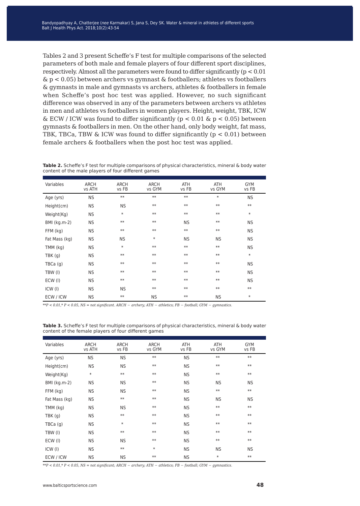Tables 2 and 3 present Scheffe's F test for multiple comparisons of the selected parameters of both male and female players of four different sport disciplines, respectively. Almost all the parameters were found to differ significantly (p < 0.01  $\& p < 0.05$ ) between archers vs gymnast  $\&$  footballers; athletes vs footballers & gymnasts in male and gymnasts vs archers, athletes & footballers in female when Scheffe's post hoc test was applied. However, no such significant difference was observed in any of the parameters between archers vs athletes in men and athletes vs footballers in women players. Height, weight, TBK, ICW & ECW / ICW was found to differ significantly ( $p < 0.01$  &  $p < 0.05$ ) between gymnasts & footballers in men. On the other hand, only body weight, fat mass, TBK, TBCa, TBW & ICW was found to differ significantly ( $p < 0.01$ ) between female archers & footballers when the post hoc test was applied.

**Table 2.** Scheffe's F test for multiple comparisons of physical characteristics, mineral & body water content of the male players of four different games

| Variables      | <b>ARCH</b><br>vs ATH | <b>ARCH</b><br>vs FB | <b>ARCH</b><br>vs GYM | <b>ATH</b><br>vs FB | <b>ATH</b><br>vs GYM | <b>GYM</b><br>vs FB |
|----------------|-----------------------|----------------------|-----------------------|---------------------|----------------------|---------------------|
| Age (yrs)      | <b>NS</b>             | $\ast\ast$           | $**$                  | $**$                | $\ast$               | <b>NS</b>           |
| Height(cm)     | <b>NS</b>             | <b>NS</b>            | $**$                  | $**$                | $**$                 | $**$                |
| Weight(Kg)     | <b>NS</b>             | $\ast$               | $**$                  | $**$                | $**$                 | $\ast$              |
| BMI (kg.m-2)   | <b>NS</b>             | $**$                 | $**$                  | <b>NS</b>           | $**$                 | <b>NS</b>           |
| FFM (kg)       | <b>NS</b>             | $**$                 | $**$                  | $\ast\ast$          | $**$                 | <b>NS</b>           |
| Fat Mass (kg)  | <b>NS</b>             | <b>NS</b>            | $\ast$                | <b>NS</b>           | <b>NS</b>            | <b>NS</b>           |
| $TMM$ ( $kg$ ) | <b>NS</b>             | $\ast$               | $**$                  | $**$                | $**$                 | <b>NS</b>           |
| TBK(q)         | <b>NS</b>             | $**$                 | $**$                  | $**$                | $**$                 | $\ast$              |
| TBCa(q)        | <b>NS</b>             | $**$                 | $**$                  | $**$                | $**$                 | <b>NS</b>           |
| TBW (I)        | <b>NS</b>             | $**$                 | $**$                  | $**$                | $**$                 | <b>NS</b>           |
| ECW (I)        | <b>NS</b>             | $**$                 | $**$                  | $**$                | $**$                 | <b>NS</b>           |
| ICW(1)         | <b>NS</b>             | ΝS                   | $**$                  | $**$                | $**$                 | $**$                |
| ECW / ICW      | <b>NS</b>             | $\ast\ast$           | <b>NS</b>             | $**$                | ΝS                   | $\ast$              |

*\*\*P < 0.01,\* P < 0.05, NS = not significant. ARCH* − *archery; ATH* − *athletics; FB* − *football; GYM* − *gymnastics.* 

| Variables     | <b>ARCH</b><br>vs ATH | <b>ARCH</b><br>vs FB | <b>ARCH</b><br>vs GYM | ATH<br>vs FB | ATH<br>vs GYM | <b>GYM</b><br>vs FB |
|---------------|-----------------------|----------------------|-----------------------|--------------|---------------|---------------------|
| Age (yrs)     | <b>NS</b>             | <b>NS</b>            | $**$                  | <b>NS</b>    | $**$          | $**$                |
| Height(cm)    | <b>NS</b>             | <b>NS</b>            | $**$                  | <b>NS</b>    | $**$          | $**$                |
| Weight(Kg)    | $\ast$                | $**$                 | $**$                  | <b>NS</b>    | $**$          | $**$                |
| BMI (kg.m-2)  | <b>NS</b>             | <b>NS</b>            | $**$                  | <b>NS</b>    | <b>NS</b>     | <b>NS</b>           |
| FFM (kg)      | <b>NS</b>             | <b>NS</b>            | $**$                  | <b>NS</b>    | $**$          | $**$                |
| Fat Mass (kg) | <b>NS</b>             | $**$                 | $**$                  | <b>NS</b>    | <b>NS</b>     | <b>NS</b>           |
| TMM (kg)      | <b>NS</b>             | <b>NS</b>            | $**$                  | <b>NS</b>    | $**$          | $**$                |
| TBK(q)        | <b>NS</b>             | $**$                 | $**$                  | <b>NS</b>    | $**$          | $**$                |
| TBCa(g)       | <b>NS</b>             | $\ast$               | $**$                  | <b>NS</b>    | $**$          | $**$                |
| TBW (I)       | <b>NS</b>             | $**$                 | $**$                  | <b>NS</b>    | $**$          | $**$                |
| ECW (I)       | <b>NS</b>             | <b>NS</b>            | $**$                  | <b>NS</b>    | $**$          | $**$                |
| ICW(1)        | <b>NS</b>             | $**$                 | $\ast$                | <b>NS</b>    | <b>NS</b>     | <b>NS</b>           |
| ECW / ICW     | <b>NS</b>             | <b>NS</b>            | $**$                  | <b>NS</b>    | $\ast$        | $**$                |

**Table 3.** Scheffe's F test for multiple comparisons of physical characteristics, mineral & body water content of the female players of four different games

*\*\*P < 0.01,\* P < 0.05, NS = not significant; ARCH* − *archery; ATH* − *athletics; FB* − *football; GYM* − *gymnastics.*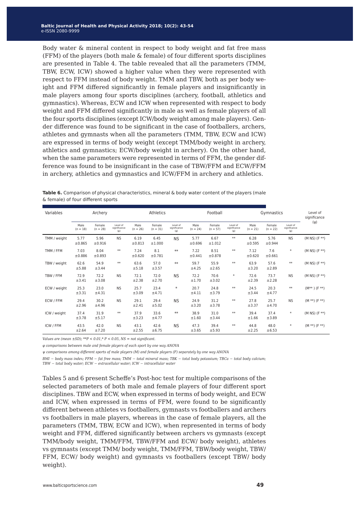Body water & mineral content in respect to body weight and fat free mass (FFM) of the players (both male & female) of four different sports disciplines are presented in Table 4. The table revealed that all the parameters (TMM, TBW, ECW, ICW) showed a higher value when they were represented with respect to FFM instead of body weight. TMM and TBW, both as per body weight and FFM differed significantly in female players and insignificantly in male players among four sports disciplines (archery, football, athletics and gymnastics). Whereas, ECW and ICW when represented with respect to body weight and FFM differed significantly in male as well as female players of all the four sports disciplines (except ICW/body weight among male players). Gender difference was found to be significant in the case of footballers, archers, athletes and gymnasts when all the parameters (TMM, TBW, ECW and ICW) are expressed in terms of body weight (except TMM/body weight in archery, athletics and gymnastics; ECW/body weight in archery). On the other hand, when the same parameters were represented in terms of FFM, the gender difference was found to be insignificant in the case of TBW/FFM and ECW/FFM in archery, athletics and gymnastics and ICW/FFM in archery and athletics.

| <b>Table 6.</b> Comparison of physical characteristics, mineral & body water content of the players (male |  |
|-----------------------------------------------------------------------------------------------------------|--|
| & female) of four different sports                                                                        |  |

| Variables    | Archery            |                      | Athletics                            |                    |                      | Football                             |                    |                      | Gymnastics                           |                    |                      | Level of<br>significance                |                   |
|--------------|--------------------|----------------------|--------------------------------------|--------------------|----------------------|--------------------------------------|--------------------|----------------------|--------------------------------------|--------------------|----------------------|-----------------------------------------|-------------------|
|              | Male<br>$(n = 18)$ | Female<br>$(n = 28)$ | Level of<br>significance<br>$(\phi)$ | Male<br>$(n = 26)$ | Female<br>$(n = 31)$ | Level of<br>significance<br>$(\phi)$ | Male<br>$(n = 24)$ | Female<br>$(n = 57)$ | Level of<br>significance<br>$(\Phi)$ | Male<br>$(n = 21)$ | Female<br>$(n = 22)$ | Level of<br>significance<br>$(\varphi)$ | $(\psi)$          |
| TMM / weight | 5.77<br>±0.865     | 5.96<br>±0.916       | <b>NS</b>                            | 6.19<br>±0.813     | 6.45<br>±1.000       | <b>NS</b>                            | 5.77<br>±0.696     | 6.67<br>±1.012       | $**$                                 | 6.28<br>±0.595     | 5.76<br>±0.944       | <b>NS</b>                               | $(M NS)$ (F **)   |
| TMM / FFM    | 7.03<br>±0.886     | 8.04<br>±0.893       | $**$                                 | 7.24<br>±0.620     | 8.1<br>±0.781        | $**$                                 | 7.22<br>±0.441     | 8.51<br>±0.878       | $**$                                 | 7.12<br>±0.620     | 7.6<br>±0.661        | $\ast$                                  | $(M NS)$ (F **)   |
| TBW / weight | 62.6<br>±5.88      | 54.9<br>±3.44        | **                                   | 63.6<br>±5.18      | 57.0<br>±3.57        | $**$                                 | 59.7<br>±4.25      | 55.9<br>±2.65        | **                                   | 63.9<br>±3.20      | 57.6<br>±2.89        | $**$                                    | $(M NS)$ $(F **)$ |
| TBW / FFM    | 72.9<br>±3.41      | 72.2<br>±3.08        | <b>NS</b>                            | 72.1<br>±2.38      | 72.0<br>±2.70        | <b>NS</b>                            | 72.2<br>±1.70      | 70.6<br>±3.02        | $\ast$                               | 72.6<br>±2.39      | 73.7<br>±2.28        | <b>NS</b>                               | $(M NS)$ (F **)   |
| ECW / weight | 25.3<br>±3.31      | 23.0<br>±4.31        | <b>NS</b>                            | 25.7<br>±3.09      | 23.4<br>±4.71        | $\ast$                               | 20.7<br>±4.11      | 24.8<br>±3.79        | $\ast\ast$                           | 24.5<br>±3.44      | 20.3<br>±4.77        | $**$                                    | $(M^{**})$ (F **) |
| ECW / FFM    | 29.4<br>±2.96      | 30.2<br>±4.96        | <b>NS</b>                            | 29.1<br>±2.41      | 29.4<br>±5.02        | <b>NS</b>                            | 24.9<br>±3.20      | 31.2<br>±3.78        | $**$                                 | 27.8<br>±3.37      | 25.7<br>±4.70        | <b>NS</b>                               | $(M **)$ (F **)   |
| ICW / weight | 37.4<br>±3.78      | 31.9<br>±5.17        | $**$                                 | 37.9<br>±3.23      | 33.6<br>±4.77        | $**$                                 | 38.9<br>±1.60      | 31.0<br>±3.44        | $**$                                 | 39.4<br>±1.66      | 37.4<br>±3.89        | $\ast$                                  | $(M NS)$ (F **)   |
| ICW / FFM    | 43.5<br>±2.64      | 42.0<br>±7.20        | <b>NS</b>                            | 43.1<br>±2.55      | 42.6<br>±6.75        | <b>NS</b>                            | 47.3<br>±3.65      | 39.4<br>±5.93        | $\ast\ast$                           | 44.8<br>±2.25      | 48.0<br>±6.53        | $\ast$                                  | $(M **)$ (F **)   |

*Values are (mean ±SD); \*\*P < 0.01,\* P < 0.05, NS = not significant.* 

*φ comparisons between male and female players of each sport by one way ANOVA* 

*ψ comparisons among different sports of male players (M) and female players (F) separately by one way ANOVA*

*BMI* − *body mass index; FFM* − *fat free mass; TMM* − *total mineral mass; TBK* − *total body potassium; TBCa* − *total body calcium; TBW* − *total body water; ECW* − *extracellular water; ICW* − *intracellular water*

Tables 5 and 6 present Scheffe's Post-hoc test for multiple comparisons of the selected parameters of both male and female players of four different sport disciplines. TBW and ECW, when expressed in terms of body weight, and ECW and ICW, when expressed in terms of FFM, were found to be significantly different between athletes vs footballers, gymnasts vs footballers and archers vs footballers in male players, whereas in the case of female players, all the parameters (TMM, TBW, ECW and ICW), when represented in terms of body weight and FFM, differed significantly between archers vs gymnasts (except TMM/body weight, TMM/FFM, TBW/FFM and ECW/ body weight), athletes vs gymnasts (except TMM/ body weight, TMM/FFM, TBW/body weight, TBW/ FFM, ECW/ body weight) and gymnasts vs footballers (except TBW/ body weight).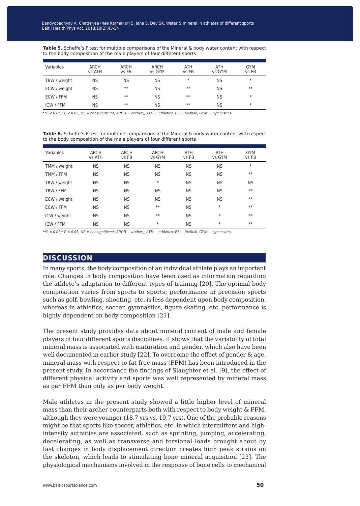**Table 5.** Scheffe's F test for multiple comparisons of the Mineral & body water content with respect to the body composition of the male players of four different sports

| Variables    | <b>ARCH</b><br>vs ATH | ARCH<br>vs FB | ARCH<br>vs GYM | <b>ATH</b><br>vs FB | <b>ATH</b><br>vs GYM | <b>GYM</b><br>vs FB |
|--------------|-----------------------|---------------|----------------|---------------------|----------------------|---------------------|
| TBW / weight | NS                    | <b>NS</b>     | <b>NS</b>      | $\ast$              | NS                   | $\ast$              |
| ECW / weight | <b>NS</b>             | $**$          | <b>NS</b>      | $**$                | <b>NS</b>            | $**$                |
| ECW / FFM    | NS                    | $**$          | <b>NS</b>      | $**$                | <b>NS</b>            | $\ast$              |
| ICW / FFM    | <b>NS</b>             | $**$          | <b>NS</b>      | $**$                | <b>NS</b>            | $\ast$              |

*\*\*P < 0.01,\* P < 0.05, NS = not significant; ARCH* − *archery; ATH* − *athletics; FB* − *football; GYM* − *gymnastics.* 

**Table 6.** Scheffe's F test for multiple comparisons of the Mineral & body water content with respect to the body composition of the male players of four different sports

| Variables        | <b>ARCH</b><br>vs ATH | <b>ARCH</b><br>vs FB | <b>ARCH</b><br>vs GYM | <b>ATH</b><br>vs FB | <b>ATH</b><br>vs GYM | <b>GYM</b><br>vs FB |
|------------------|-----------------------|----------------------|-----------------------|---------------------|----------------------|---------------------|
| TMM / weight     | <b>NS</b>             | <b>NS</b>            | <b>NS</b>             | <b>NS</b>           | <b>NS</b>            | $\ast$              |
| TMM / FFM        | <b>NS</b>             | <b>NS</b>            | <b>NS</b>             | <b>NS</b>           | <b>NS</b>            | $**$                |
| TBW / weight     | <b>NS</b>             | <b>NS</b>            | $\ast$                | <b>NS</b>           | <b>NS</b>            | <b>NS</b>           |
| TBW / FFM        | <b>NS</b>             | <b>NS</b>            | <b>NS</b>             | <b>NS</b>           | <b>NS</b>            | $**$                |
| ECW / weight     | <b>NS</b>             | <b>NS</b>            | <b>NS</b>             | <b>NS</b>           | <b>NS</b>            | $**$                |
| ECW / FFM        | <b>NS</b>             | <b>NS</b>            | $**$                  | <b>NS</b>           | $\ast$               | $**$                |
| ICW / weight     | <b>NS</b>             | <b>NS</b>            | $**$                  | <b>NS</b>           | $\ast$               | $**$                |
| <b>ICW / FFM</b> | <b>NS</b>             | <b>NS</b>            | $\ast$                | <b>NS</b>           | $\ast$               | $**$                |

*\*\*P < 0.01,\* P < 0.05, NS = not significant; ARCH* − *archery; ATH* − *athletics; FB* − *football; GYM* − *gymnastics.* 

#### **discussion**

In many sports, the body composition of an individual athlete plays an important role. Changes in body composition have been used as information regarding the athlete's adaptation to different types of training [20]. The optimal body composition varies from sports to sports; performance in precision sports such as golf, bowling, shooting, etc. is less dependent upon body composition, whereas in athletics, soccer, gymnastics, figure skating, etc. performance is highly dependent on body composition [21].

The present study provides data about mineral content of male and female players of four different sports disciplines. It shows that the variability of total mineral mass is associated with maturation and gender, which also have been well documented in earlier study [22]. To overcome the effect of gender & age, mineral mass with respect to fat free mass (FFM) has been introduced in the present study. In accordance the findings of Slaughter et al. [9], the effect of different physical activity and sports was well represented by mineral mass as per FFM than only as per body weight.

Male athletes in the present study showed a little higher level of mineral mass than their archer counterparts both with respect to body weight & FFM, although they were younger (18.7 yrs vs. 19.7 yrs). One of the probable reasons might be that sports like soccer, athletics, etc. in which intermittent and highintensity activities are associated, such as sprinting, jumping, accelerating, decelerating, as well as transverse and torsional loads brought about by fast changes in body displacement direction creates high peak strains on the skeleton, which leads to stimulating bone mineral acquisition [23]. The physiological mechanisms involved in the response of bone cells to mechanical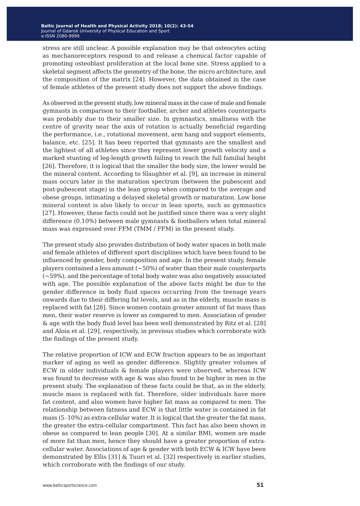stress are still unclear. A possible explanation may be that osteocytes acting as mechanoreceptors respond to and release a chemical factor capable of promoting osteoblast proliferation at the local bone site. Stress applied to a skeletal segment affects the geometry of the bone, the micro architecture, and the composition of the matrix [24]. However, the data obtained in the case of female athletes of the present study does not support the above findings.

As observed in the present study, low mineral mass in the case of male and female gymnasts in comparison to their footballer, archer and athletes counterparts was probably due to their smaller size. In gymnastics, smallness with the centre of gravity near the axis of rotation is actually beneficial regarding the performance, i.e., rotational movement, arm hang and support elements, balance, etc. [25]. It has been reported that gymnasts are the smallest and the lightest of all athletes since they represent lower growth velocity and a marked stunting of leg-length growth failing to reach the full familial height [26]. Therefore, it is logical that the smaller the body size, the lower would be the mineral content. According to Slaughter et al. [9], an increase in mineral mass occurs later in the maturation spectrum (between the pubescent and post-pubescent stage) in the lean group when compared to the average and obese groups, intimating a delayed skeletal growth or maturation. Low bone mineral content is also likely to occur in lean sports, such as gymnastics [27]. However, these facts could not be justified since there was a very slight difference (0.10%) between male gymnasts & footballers when total mineral mass was expressed over FFM (TMM / FFM) in the present study.

The present study also provides distribution of body water spaces in both male and female athletes of different sport disciplines which have been found to be influenced by gender, body composition and age. In the present study, female players contained a less amount  $(-50%)$  of water than their male counterparts (~59%), and the percentage of total body water was also negatively associated with age. The possible explanation of the above facts might be due to the gender difference in body fluid spaces occurring from the teenage years onwards due to their differing fat levels, and as in the elderly, muscle mass is replaced with fat [28]. Since women contain greater amount of fat mass than men, their water reserve is lower as compared to men. Association of gender & age with the body fluid level has been well demonstrated by Ritz et al. [28] and Aloia et al. [29], respectively, in previous studies which corroborate with the findings of the present study.

The relative proportion of ICW and ECW fraction appears to be as important marker of aging as well as gender difference. Slightly greater volumes of ECW in older individuals & female players were observed, whereas ICW was found to decrease with age & was also found to be higher in men in the present study. The explanation of these facts could be that, as in the elderly, muscle mass is replaced with fat. Therefore, older individuals have more fat content, and also women have higher fat mass as compared to men. The relationship between fatness and ECW is that little water is contained in fat mass (5-10%) as extra-cellular water. It is logical that the greater the fat mass, the greater the extra-cellular compartment. This fact has also been shown in obese as compared to lean people [30]. At a similar BMI, women are made of more fat than men, hence they should have a greater proportion of extracellular water. Associations of age & gender with both ECW & ICW have been demonstrated by Ellis [31] & Tuuri et al. [32] respectively in earlier studies, which corroborate with the findings of our study.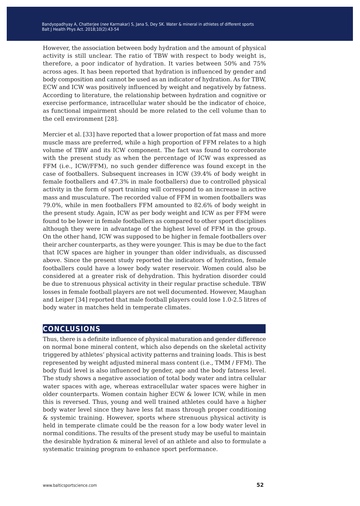However, the association between body hydration and the amount of physical activity is still unclear. The ratio of TBW with respect to body weight is, therefore, a poor indicator of hydration. It varies between 50% and 75% across ages. It has been reported that hydration is influenced by gender and body composition and cannot be used as an indicator of hydration. As for TBW, ECW and ICW was positively influenced by weight and negatively by fatness. According to literature, the relationship between hydration and cognitive or exercise performance, intracellular water should be the indicator of choice, as functional impairment should be more related to the cell volume than to the cell environment [28].

Mercier et al. [33] have reported that a lower proportion of fat mass and more muscle mass are preferred, while a high proportion of FFM relates to a high volume of TBW and its ICW component. The fact was found to corroborate with the present study as when the percentage of ICW was expressed as FFM (i.e., ICW/FFM), no such gender difference was found except in the case of footballers. Subsequent increases in ICW (39.4% of body weight in female footballers and 47.3% in male footballers) due to controlled physical activity in the form of sport training will correspond to an increase in active mass and musculature. The recorded value of FFM in women footballers was 79.0%, while in men footballers FFM amounted to 82.6% of body weight in the present study. Again, ICW as per body weight and ICW as per FFM were found to be lower in female footballers as compared to other sport disciplines although they were in advantage of the highest level of FFM in the group. On the other hand, ICW was supposed to be higher in female footballers over their archer counterparts, as they were younger. This is may be due to the fact that ICW spaces are higher in younger than older individuals, as discussed above. Since the present study reported the indicators of hydration, female footballers could have a lower body water reservoir. Women could also be considered at a greater risk of dehydration. This hydration disorder could be due to strenuous physical activity in their regular practise schedule. TBW losses in female football players are not well documented. However, Maughan and Leiper [34] reported that male football players could lose 1.0-2.5 litres of body water in matches held in temperate climates.

#### **conclusions**

Thus, there is a definite influence of physical maturation and gender difference on normal bone mineral content, which also depends on the skeletal activity triggered by athletes' physical activity patterns and training loads. This is best represented by weight adjusted mineral mass content (i.e., TMM / FFM). The body fluid level is also influenced by gender, age and the body fatness level. The study shows a negative association of total body water and intra cellular water spaces with age, whereas extracellular water spaces were higher in older counterparts. Women contain higher ECW & lower ICW, while in men this is reversed. Thus, young and well trained athletes could have a higher body water level since they have less fat mass through proper conditioning & systemic training. However, sports where strenuous physical activity is held in temperate climate could be the reason for a low body water level in normal conditions. The results of the present study may be useful to maintain the desirable hydration & mineral level of an athlete and also to formulate a systematic training program to enhance sport performance.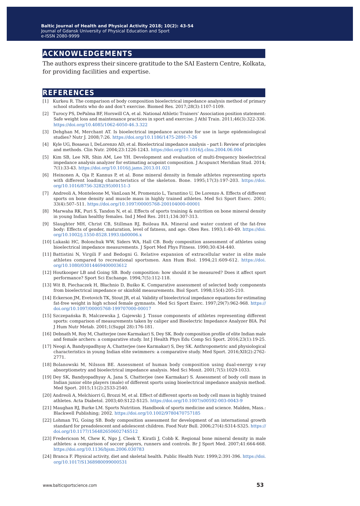### **acknowledgements**

The authors express their sincere gratitude to the SAI Eastern Centre, Kolkata, for providing facilities and expertise.

#### **references**

- Kurkeu R. The comparison of body composition bioelectrical impedance analysis method of primary school students who do and don't exercise. Biomed Res. 2017;28(3):1107-1109.
- [2] Turocy PS, DePalma BF, Horswill CA, et al. National Athletic Trainers' Association position statement: Safe weight loss and maintenance practices in sport and exercise. J Athl Train. 2011;46(3):322-336. <https://doi.org/10.4085/1062-6050-46.3.322>
- [3] Dehghan M, Merchant AT. Is bioelectrical impedance accurate for use in large epidemiological studies? Nutr J. 2008;7:26. <https://doi.org/10.1186/1475-2891-7-26>
- [4] Kyle UG, Bosaeus I, DeLorenzo AD, et al. Bioelectrical impedance analysis part I: Review of principles and methods. Clin Nutr. 2004;23:1226-1243. <https://doi.org/10.1016/j.clnu.2004.06.004>
- [5] Kim SB, Lee NR, Shin AM, Lee YH. Development and evaluation of multi-frequency bioelectrical impedance analysis analyzer for estimating acupoint composition. J Acupunct Meridian Stud. 2014; 7(1):33-43. <https://doi.org/10.1016/j.jams.2013.01.021>
- [6] Heinonen A, Oja P, Kannus P, et al. Bone mineral density in female athletes representing sports with different loading characteristics of the skeleton. Bone. 1995;17(3):197-203. [https://doi.](https://doi.org/10.1016/8756-3282(95)00151-3) [org/10.1016/8756-3282\(95\)00151-3](https://doi.org/10.1016/8756-3282(95)00151-3)
- [7] Andreoli A, Monteleone M, VanLoan M, Promenzio L, Tarantino U, De Lorenzo A. Effects of different sports on bone density and muscle mass in highly trained athletes. Med Sci Sport Exerc. 2001; 33(4):507–511.<https://doi.org/10.1097/00005768-200104000-00001>
- [8] Marwaha RK, Puri S, Tandon N, et al. Effects of sports training & nutrition on bone mineral density in young Indian healthy females. Ind J Med Res. 2011;134:307-313.
- [9] Slaughter MH, Christ CB, Stillman RJ, Boileau RA. Mineral and water content of the fat-free body: Effects of gender, maturation, level of fatness, and age. Obes Res. 1993;1:40-49. [https://doi.](https://doi.org/10.1002/j.1550-8528.1993.tb00006.x) [org/10.1002/j.1550-8528.1993.tb00006.x](https://doi.org/10.1002/j.1550-8528.1993.tb00006.x)
- [10] Lukaski HC, Bolonchuk WW, Siders WA, Hall CB. Body composition assessment of athletes using bioelectrical impedance measurements. J Sport Med Phys Fitness. 1990;30:434-440.
- [11] Battistini N, Virgili F and Bedogni G. Relative expansion of extracellular water in elite male athletes compared to recreational sportsmen. Ann Hum Biol. 1994;21:609-612. [https://doi.](https://doi.org/10.1080/03014469400003612) [org/10.1080/03014469400003612](https://doi.org/10.1080/03014469400003612)
- [12] Houtkooper LB and Going SB. Body composition: how should it be measured? Does it affect sport performance? Sport Sci Exchange. 1994;7(5):112-118.
- [13] Wit B, Piechaczek H, Błachnio D, Buśko K. Comparative assessment of selected body components from bioelectrical impedance or skinfold measurements. Biol Sport. 1998;15(4):205-210.
- [14] Eckerson JM, Evetovich TK, Stout JR, et al. Validity of bioelectrical impedance equations for estimating fat-free weight in high school female gymnasts. Med Sci Sport Exerc. 1997;29(7):962-968. [https://](https://doi.org/10.1097/00005768-199707000-00017) [doi.org/10.1097/00005768-199707000-00017](https://doi.org/10.1097/00005768-199707000-00017)
- [15] Szczepańska B, Malczewska J, Gajewski J. Tissue components of athletes representing different sports: comparison of measurements taken by caliper and Bioelectric Impedance Analyzer BIA. Pol J Hum Nutr Metab. 2001;1(Suppl 28):176-181.
- [16] Debnath M, Roy M, Chatterjee (nee Karmakar) S, Dey SK. Body composition profile of elite Indian male and female archers: a comparative study. Int J Health Phys Edu Comp Sci Sport. 2016;23(1):19-25.
- [17] Neogi A, Bandyopadhyay A, Chatterjee (nee Karmakar) S, Dey SK. Anthropometric and physiological characteristics in young Indian elite swimmers: a comparative study. Med Sport. 2016;XII(2):2762- 2771.
- [18] Bolanowski M, Nilsson BE. Assessment of human body composition using dual-energy x-ray absorptiometry and bioelectrical impedance analysis. Med Sci Monit. 2001;7(5):1029-1033.
- [19] Dey SK, Bandyopadhyay A, Jana S, Chatterjee (nee Karmakar) S. Assessment of body cell mass in Indian junior elite players (male) of different sports using bioelectrical impedance analysis method. Med Sport. 2015;11(2):2533-2540.
- [20] Andreoli A, Melchiorri G, Brozzi M, et al. Effect of different sports on body cell mass in highly trained athletes. Acta Diabetol. 2003;40:S122-S125.<https://doi.org/10.1007/s00592-003-0043-9>
- [21] Maughan RJ, Burke LM. Sports Nutrition. Handbook of sports medicine and science. Malden, Mass.: Blackwell Publishing; 2002.<https://doi.org/10.1002/9780470757185>
- [22] Lohman TG, Going SB. Body composition assessment for development of an international growth standard for preadolescent and adolescent children. Food Nutr Bull. 2006;27(4):S314-S325. [https://](https://doi.org/10.1177/15648265060274S512) [doi.org/10.1177/15648265060274S512](https://doi.org/10.1177/15648265060274S512)
- [23] Fredericson M, Chew K, Ngo J, Cleek T, Kiratli J, Cobb K. Regional bone mineral density in male athletes: a comparison of soccer players, runners and controls. Br J Sport Med. 2007;41:664-668. <https://doi.org/10.1136/bjsm.2006.030783>
- [24] Branca F. Physical activity, diet and skeletal health. Public Health Nutr. 1999;2:391-396. [https://doi.](https://doi.org/10.1017/S1368980099000531) [org/10.1017/S1368980099000531](https://doi.org/10.1017/S1368980099000531)